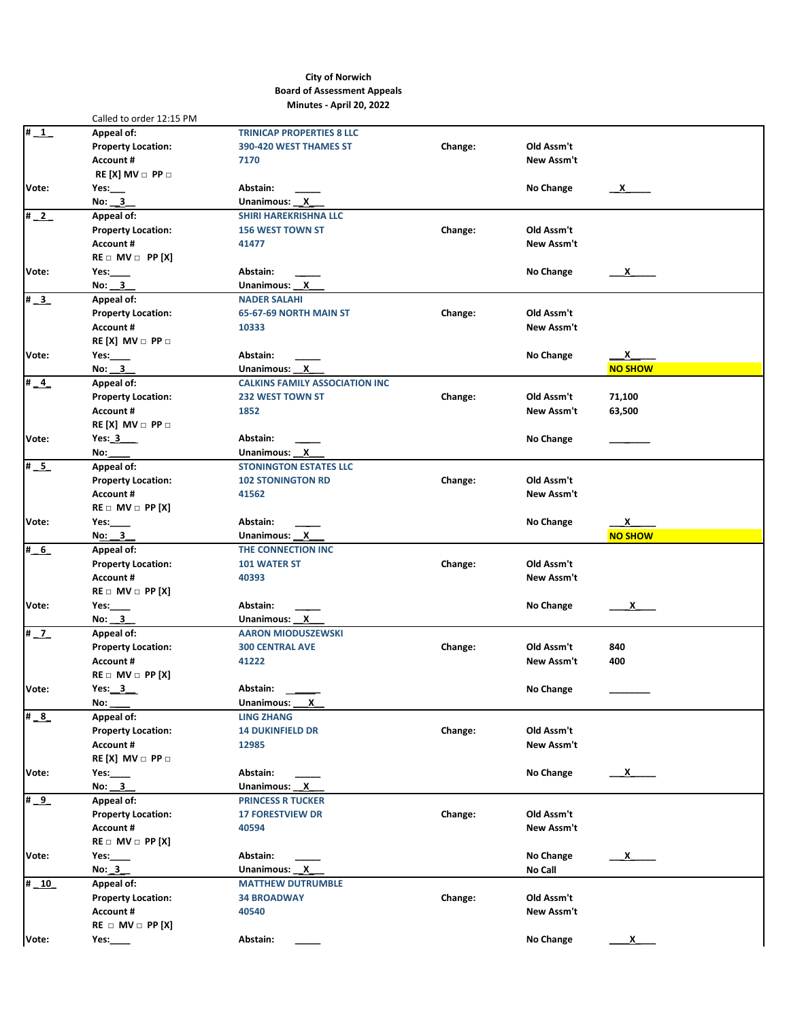## **City of Norwich Board of Assessment Appeals Minutes - April 20, 2022**

|                           | Called to order 12:15 PM                      |                                       |         |                  |                                 |
|---------------------------|-----------------------------------------------|---------------------------------------|---------|------------------|---------------------------------|
| #1                        | Appeal of:                                    | <b>TRINICAP PROPERTIES 8 LLC</b>      |         |                  |                                 |
|                           | <b>Property Location:</b>                     | 390-420 WEST THAMES ST                | Change: | Old Assm't       |                                 |
|                           | Account #                                     | 7170                                  |         | New Assm't       |                                 |
|                           | $RE[X]$ MV $\Box$ PP $\Box$                   |                                       |         |                  |                                 |
| Vote:                     | Yes: $\_\_$                                   | Abstain:                              |         | No Change        | $\mathbf{x}$                    |
|                           | No: 3                                         | Unanimous: X                          |         |                  |                                 |
| $\frac{1}{2}$             | Appeal of:                                    | <b>SHIRI HAREKRISHNA LLC</b>          |         |                  |                                 |
|                           | <b>Property Location:</b>                     | <b>156 WEST TOWN ST</b>               | Change: | Old Assm't       |                                 |
|                           | <b>Account #</b>                              | 41477                                 |         | New Assm't       |                                 |
|                           | $RE \square$ MV $\square$ PP [X]              |                                       |         |                  |                                 |
| Vote:                     | Yes: $\_\_\_\_\_\$                            | Abstain:                              |         | No Change        | $\mathsf{X}$                    |
|                           | No: $3$                                       | Unanimous: X                          |         |                  |                                 |
| $\overline{\textbf{H}}$ 3 | Appeal of:                                    | <b>NADER SALAHI</b>                   |         |                  |                                 |
|                           | <b>Property Location:</b>                     | 65-67-69 NORTH MAIN ST                | Change: | Old Assm't       |                                 |
|                           | Account #                                     | 10333                                 |         | New Assm't       |                                 |
|                           | $RE[X]$ MV $\Box$ PP $\Box$                   |                                       |         |                  |                                 |
| Vote:                     | Yes: $\_\_\_\_\_\$                            | Abstain:                              |         | No Change        | <u>x</u>                        |
|                           | No: 3                                         | Unanimous: X                          |         |                  | <b>NO SHOW</b>                  |
| $\sqrt{\frac{4}{4}}$      | Appeal of:                                    | <b>CALKINS FAMILY ASSOCIATION INC</b> |         |                  |                                 |
|                           | <b>Property Location:</b>                     | <b>232 WEST TOWN ST</b>               | Change: | Old Assm't       | 71,100                          |
|                           | <b>Account #</b>                              | 1852                                  |         | New Assm't       | 63,500                          |
|                           | $RE[X]$ MV $\Box$ PP $\Box$                   |                                       |         |                  |                                 |
| Vote:                     | Yes: $3$                                      | Abstain:                              |         | No Change        |                                 |
|                           | No:                                           | Unanimous: X                          |         |                  |                                 |
| $\overline{\textbf{m}}$ 5 | Appeal of:                                    | <b>STONINGTON ESTATES LLC</b>         |         |                  |                                 |
|                           | <b>Property Location:</b>                     | <b>102 STONINGTON RD</b>              | Change: | Old Assm't       |                                 |
|                           | <b>Account #</b>                              | 41562                                 |         | New Assm't       |                                 |
|                           | $RE \square$ MV $\square$ PP [X]              |                                       |         |                  |                                 |
| Vote:                     | Yes: $\rule{1em}{0.15mm}$                     | Abstain:                              |         | No Change        | $\frac{\mathsf{x}}{\mathsf{y}}$ |
|                           | No: $3$                                       | Unanimous: X                          |         |                  | <b>NO SHOW</b>                  |
| # 6                       | Appeal of:                                    | THE CONNECTION INC                    |         |                  |                                 |
|                           | <b>Property Location:</b>                     | <b>101 WATER ST</b>                   | Change: | Old Assm't       |                                 |
|                           | <b>Account #</b>                              | 40393                                 |         | New Assm't       |                                 |
|                           | $RE \square$ MV $\square$ PP [X]              |                                       |         |                  |                                 |
| Vote:                     | Yes: $\_\_\_\_\$                              | Abstain:                              |         | No Change        | $\mathbf{x}$                    |
|                           | No: $3$                                       | Unanimous: X                          |         |                  |                                 |
| $\overline{\frac{1}{2}}$  | Appeal of:                                    | <b>AARON MIODUSZEWSKI</b>             |         |                  |                                 |
|                           | <b>Property Location:</b>                     | <b>300 CENTRAL AVE</b>                | Change: | Old Assm't       | 840                             |
|                           | <b>Account #</b>                              | 41222                                 |         | New Assm't       | 400                             |
|                           | $RE \square$ MV $\square$ PP [X]              |                                       |         |                  |                                 |
| Vote:                     | Yes: $3$                                      | Abstain:                              |         | <b>No Change</b> |                                 |
|                           | No:                                           | Unanimous:<br>X                       |         |                  |                                 |
| $\overline{\#}$ 8         | Appeal of:                                    | <b>LING ZHANG</b>                     |         |                  |                                 |
|                           | <b>Property Location:</b>                     | <b>14 DUKINFIELD DR</b>               | Change: | Old Assm't       |                                 |
|                           | <b>Account #</b>                              | 12985                                 |         | New Assm't       |                                 |
|                           | $RE[X]$ MV $\Box$ PP $\Box$                   |                                       |         |                  |                                 |
|                           |                                               |                                       |         |                  |                                 |
| Vote:                     | Yes.<br>No: 3                                 | Abstain:<br>Unanimous: X              |         | No Change        | $\mathsf{X}$                    |
|                           |                                               | <b>PRINCESS R TUCKER</b>              |         |                  |                                 |
| # 9                       | Appeal of:                                    |                                       | Change: | Old Assm't       |                                 |
|                           | <b>Property Location:</b><br><b>Account #</b> | <b>17 FORESTVIEW DR</b>               |         |                  |                                 |
|                           | $RE \square$ MV $\square$ PP [X]              | 40594                                 |         | New Assm't       |                                 |
|                           |                                               |                                       |         |                  |                                 |
| Vote:                     | Yes: $\_\_\_\_\_\$                            | Abstain:                              |         | No Change        | $x =$                           |
|                           | No: 3                                         | Unanimous: X                          |         | No Call          |                                 |
| # 10                      | Appeal of:                                    | <b>MATTHEW DUTRUMBLE</b>              |         |                  |                                 |
|                           | <b>Property Location:</b>                     | <b>34 BROADWAY</b>                    | Change: | Old Assm't       |                                 |
|                           | <b>Account #</b>                              | 40540                                 |         | New Assm't       |                                 |
|                           | $RE \square MV \square PP[X]$                 |                                       |         |                  |                                 |
| Vote:                     | Yes: $\_\_\_\_\_\_\$                          | Abstain:                              |         | No Change        | x                               |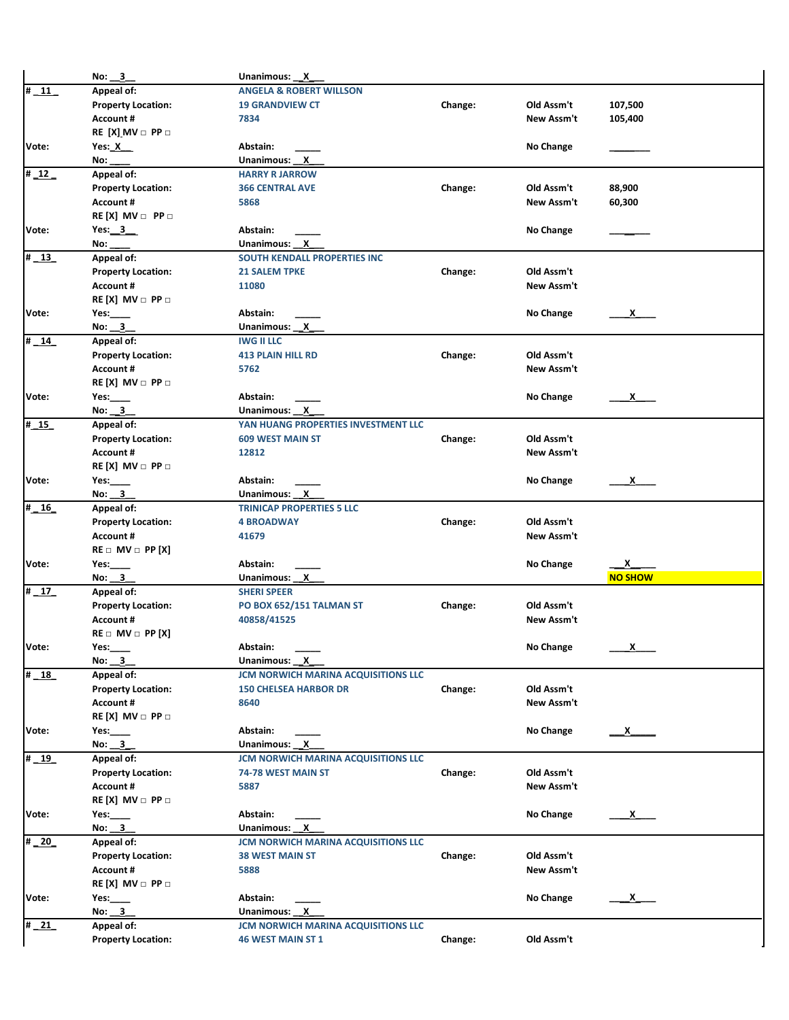|                          | No: 3                            | Unanimous: X                        |         |                  |                                 |
|--------------------------|----------------------------------|-------------------------------------|---------|------------------|---------------------------------|
| $\frac{+}{11}$           | Appeal of:                       | <b>ANGELA &amp; ROBERT WILLSON</b>  |         |                  |                                 |
|                          | <b>Property Location:</b>        | <b>19 GRANDVIEW CT</b>              | Change: | Old Assm't       | 107,500                         |
|                          | <b>Account #</b>                 | 7834                                |         | New Assm't       | 105,400                         |
|                          | $RE[X]$ MV $\Box$ PP $\Box$      |                                     |         |                  |                                 |
|                          |                                  |                                     |         |                  |                                 |
| Vote:                    | Yes: $X$                         | Abstain:                            |         | No Change        |                                 |
|                          | No:                              | Unanimous: X                        |         |                  |                                 |
| $\frac{1}{2}$            | Appeal of:                       | <b>HARRY R JARROW</b>               |         |                  |                                 |
|                          | <b>Property Location:</b>        | <b>366 CENTRAL AVE</b>              | Change: | Old Assm't       | 88,900                          |
|                          | <b>Account #</b>                 | 5868                                |         | New Assm't       | 60,300                          |
|                          | $RE[X]$ MV $\Box$ PP $\Box$      |                                     |         |                  |                                 |
| Vote:                    | Yes: $3$                         | Abstain:                            |         | No Change        |                                 |
|                          | No:                              | Unanimous: X                        |         |                  |                                 |
| $\frac{4}{13}$           | Appeal of:                       | SOUTH KENDALL PROPERTIES INC        |         |                  |                                 |
|                          | <b>Property Location:</b>        | <b>21 SALEM TPKE</b>                | Change: | Old Assm't       |                                 |
|                          | <b>Account #</b>                 | 11080                               |         | New Assm't       |                                 |
|                          | $RE[X]$ MV $\Box$ PP $\Box$      |                                     |         |                  |                                 |
| Vote:                    | Yes: $\_\_\_\_\$                 | Abstain:                            |         | No Change        | <u>x</u>                        |
|                          | No: $3$                          | Unanimous: X                        |         |                  |                                 |
|                          |                                  |                                     |         |                  |                                 |
| # 14                     | Appeal of:                       | <b>IWG II LLC</b>                   |         |                  |                                 |
|                          | <b>Property Location:</b>        | <b>413 PLAIN HILL RD</b>            | Change: | Old Assm't       |                                 |
|                          | <b>Account #</b>                 | 5762                                |         | New Assm't       |                                 |
|                          | $RE[X]$ MV $\Box$ PP $\Box$      |                                     |         |                  |                                 |
| Vote:                    | Yes: $\qquad \qquad$             | Abstain:                            |         | No Change        | $\mathsf{X}$                    |
|                          | No: $3$                          | Unanimous: X                        |         |                  |                                 |
| $\overline{4}$ 15        | Appeal of:                       | YAN HUANG PROPERTIES INVESTMENT LLC |         |                  |                                 |
|                          | <b>Property Location:</b>        | <b>609 WEST MAIN ST</b>             | Change: | Old Assm't       |                                 |
|                          | <b>Account #</b>                 | 12812                               |         | New Assm't       |                                 |
|                          | $RE[X]$ MV $\Box$ PP $\Box$      |                                     |         |                  |                                 |
| Vote:                    | Yes: $\rule{1em}{0.15mm}$        | Abstain:                            |         | No Change        | $\mathsf{x}$                    |
|                          | No: $3$                          | Unanimous: X                        |         |                  |                                 |
| $\frac{16}{16}$          | Appeal of:                       | <b>TRINICAP PROPERTIES 5 LLC</b>    |         |                  |                                 |
|                          |                                  | <b>4 BROADWAY</b>                   | Change: | Old Assm't       |                                 |
|                          | <b>Property Location:</b>        |                                     |         |                  |                                 |
|                          | <b>Account #</b>                 | 41679                               |         | New Assm't       |                                 |
|                          | $RE \square$ MV $\square$ PP [X] |                                     |         |                  |                                 |
| Vote:                    | Yes:                             | Abstain:                            |         | No Change        | <u>x</u>                        |
|                          | No: 3                            | Unanimous: X                        |         |                  | <b>NO SHOW</b>                  |
| $\overline{\text{# }17}$ | Appeal of:                       | <b>SHERI SPEER</b>                  |         |                  |                                 |
|                          | <b>Property Location:</b>        | PO BOX 652/151 TALMAN ST            | Change: | Old Assm't       |                                 |
|                          | <b>Account #</b>                 | 40858/41525                         |         | New Assm't       |                                 |
|                          | $RE \square$ MV $\square$ PP [X] |                                     |         |                  |                                 |
| Vote:                    | Yes:                             | Abstain:                            |         | <b>No Change</b> | <u>х</u>                        |
|                          | No: 3                            | Unanimous: X                        |         |                  |                                 |
| $\frac{18}{16}$          | Appeal of:                       | JCM NORWICH MARINA ACQUISITIONS LLC |         |                  |                                 |
|                          | <b>Property Location:</b>        | <b>150 CHELSEA HARBOR DR</b>        | Change: | Old Assm't       |                                 |
|                          | <b>Account #</b>                 | 8640                                |         | New Assm't       |                                 |
|                          |                                  |                                     |         |                  |                                 |
|                          | $RE[X]$ MV $\Box$ PP $\Box$      |                                     |         |                  |                                 |
| Vote:                    | Yes: $\_\_\_\_\$                 | Abstain:                            |         | No Change        | $\mathbf{x}$                    |
|                          | No: 3                            | Unanimous: X                        |         |                  |                                 |
| $#$ 19                   | Appeal of:                       | JCM NORWICH MARINA ACQUISITIONS LLC |         |                  |                                 |
|                          | <b>Property Location:</b>        | 74-78 WEST MAIN ST                  | Change: | Old Assm't       |                                 |
|                          | <b>Account #</b>                 | 5887                                |         | New Assm't       |                                 |
|                          | $RE[X]$ MV $\Box$ PP $\Box$      |                                     |         |                  |                                 |
| Vote:                    | Yes: $\qquad \qquad$             | Abstain:                            |         | No Change        | $\frac{\mathsf{x}}{\mathsf{y}}$ |
|                          | No: $3$                          | Unanimous: X                        |         |                  |                                 |
| $\frac{1}{4}$ 20         | Appeal of:                       | JCM NORWICH MARINA ACQUISITIONS LLC |         |                  |                                 |
|                          | <b>Property Location:</b>        | <b>38 WEST MAIN ST</b>              | Change: | Old Assm't       |                                 |
|                          | <b>Account #</b>                 | 5888                                |         | New Assm't       |                                 |
|                          | $RE[X]$ MV $\Box$ PP $\Box$      |                                     |         |                  |                                 |
|                          |                                  |                                     |         |                  |                                 |
| Vote:<br>$\frac{1}{21}$  | Yes:                             | Abstain:                            |         | No Change        | $\mathsf{x}$                    |
|                          | No: 3                            | Unanimous: X                        |         |                  |                                 |
|                          | Appeal of:                       | JCM NORWICH MARINA ACQUISITIONS LLC |         |                  |                                 |
|                          | <b>Property Location:</b>        | <b>46 WEST MAIN ST 1</b>            | Change: | Old Assm't       |                                 |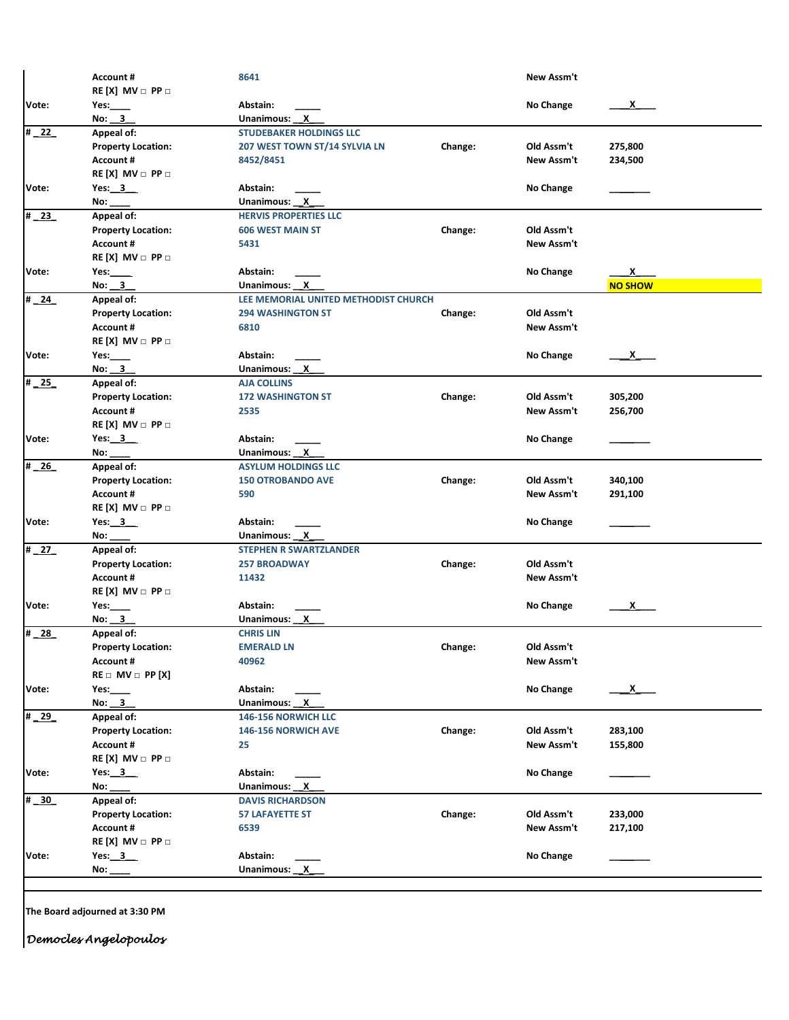|                            | <b>Account #</b>                              | 8641                                 |         | New Assm't       |                |
|----------------------------|-----------------------------------------------|--------------------------------------|---------|------------------|----------------|
|                            | $RE[X]$ MV $\Box$ PP $\Box$                   |                                      |         |                  |                |
| Vote:                      | Yes:                                          | Abstain:                             |         | <b>No Change</b> | x              |
|                            | No: 3                                         | Unanimous: X                         |         |                  |                |
| $\overline{4}$ 22          | Appeal of:                                    | <b>STUDEBAKER HOLDINGS LLC</b>       |         |                  |                |
|                            | <b>Property Location:</b>                     | 207 WEST TOWN ST/14 SYLVIA LN        | Change: | Old Assm't       | 275,800        |
|                            | <b>Account #</b>                              | 8452/8451                            |         | New Assm't       | 234,500        |
|                            | $RE[X]$ MV $\Box$ PP $\Box$                   |                                      |         |                  |                |
| Vote:                      | Yes: $3$                                      | Abstain:                             |         | No Change        |                |
|                            | No:                                           | Unanimous: X                         |         |                  |                |
| #23                        | Appeal of:                                    | <b>HERVIS PROPERTIES LLC</b>         |         |                  |                |
|                            | <b>Property Location:</b>                     | <b>606 WEST MAIN ST</b>              | Change: | Old Assm't       |                |
|                            | <b>Account #</b>                              | 5431                                 |         | New Assm't       |                |
|                            | $RE[X]$ MV $\Box$ PP $\Box$                   |                                      |         |                  |                |
| Vote:                      | Yes: $\_\_\_\_\_\_\$                          | Abstain:                             |         | No Change        | $\mathsf{x}$   |
|                            | No: 3                                         | Unanimous: X                         |         |                  | <b>NO SHOW</b> |
| $\frac{1}{4}$ 24           | Appeal of:                                    | LEE MEMORIAL UNITED METHODIST CHURCH |         |                  |                |
|                            |                                               | <b>294 WASHINGTON ST</b>             | Change: | Old Assm't       |                |
|                            | <b>Property Location:</b><br><b>Account #</b> |                                      |         | New Assm't       |                |
|                            |                                               | 6810                                 |         |                  |                |
|                            | $RE[X]$ MV $\Box$ PP $\Box$                   |                                      |         |                  |                |
| Vote:                      | Yes: $\_\_\_\_\_\$                            | Abstain:                             |         | No Change        | $\mathsf{x}$   |
|                            | No: 3                                         | Unanimous: X                         |         |                  |                |
| $\overline{4}$ 25          | Appeal of:                                    | <b>AJA COLLINS</b>                   |         |                  |                |
|                            | <b>Property Location:</b>                     | <b>172 WASHINGTON ST</b>             | Change: | Old Assm't       | 305,200        |
|                            | <b>Account #</b>                              | 2535                                 |         | New Assm't       | 256,700        |
|                            | $RE[X]$ MV $\Box$ PP $\Box$                   |                                      |         |                  |                |
| Vote:                      | Yes: 3                                        | Abstain:                             |         | No Change        |                |
|                            | No:                                           | Unanimous: X                         |         |                  |                |
| $\overline{\text{#}26}$    | Appeal of:                                    | <b>ASYLUM HOLDINGS LLC</b>           |         |                  |                |
|                            | <b>Property Location:</b>                     | <b>150 OTROBANDO AVE</b>             | Change: | Old Assm't       | 340,100        |
|                            | <b>Account #</b>                              | 590                                  |         | New Assm't       | 291,100        |
|                            | RE [X] MV $\Box$ PP $\Box$                    |                                      |         |                  |                |
| Vote:                      | Yes: $3$                                      | Abstain:                             |         | No Change        |                |
|                            | No:                                           | Unanimous: X                         |         |                  |                |
| $\overline{4}$ 27          | Appeal of:                                    | <b>STEPHEN R SWARTZLANDER</b>        |         |                  |                |
|                            | <b>Property Location:</b>                     | <b>257 BROADWAY</b>                  | Change: | Old Assm't       |                |
|                            | <b>Account #</b>                              | 11432                                |         | New Assm't       |                |
|                            | $RE[X]$ MV $\Box$ PP $\Box$                   |                                      |         |                  |                |
| Vote:                      | Yes: $\_\_\_\_\$                              | Abstain:                             |         | No Change        | x              |
|                            | No: 3                                         | Unanimous: X                         |         |                  |                |
| $\frac{4}{28}$             | Appeal of:                                    | <b>CHRIS LIN</b>                     |         |                  |                |
|                            | <b>Property Location:</b>                     | <b>EMERALD LN</b>                    | Change: | Old Assm't       |                |
|                            | Account #                                     | 40962                                |         | New Assm't       |                |
|                            | $RE \square$ MV $\square$ PP [X]              |                                      |         |                  |                |
|                            |                                               |                                      |         |                  |                |
| Vote:                      | Yes: $\_\_\_\_\$                              | Abstain:                             |         | No Change        | $\mathsf{X}$   |
|                            | No: $3$                                       | Unanimous: X                         |         |                  |                |
| # 29                       | Appeal of:                                    | 146-156 NORWICH LLC                  |         |                  |                |
|                            | <b>Property Location:</b>                     | 146-156 NORWICH AVE                  | Change: | Old Assm't       | 283,100        |
|                            | <b>Account #</b>                              | 25                                   |         | New Assm't       | 155,800        |
|                            | $RE[X]$ MV $\Box$ PP $\Box$                   |                                      |         |                  |                |
| Vote:                      | Yes: $3$                                      | Abstain:                             |         | No Change        |                |
|                            | No:                                           | Unanimous: X                         |         |                  |                |
| $\overline{\textbf{m}}$ 30 | Appeal of:                                    | <b>DAVIS RICHARDSON</b>              |         |                  |                |
|                            | <b>Property Location:</b>                     | <b>57 LAFAYETTE ST</b>               | Change: | Old Assm't       | 233,000        |
|                            | Account #                                     | 6539                                 |         | New Assm't       | 217,100        |
|                            | $RE[X]$ MV $\Box$ PP $\Box$                   |                                      |         |                  |                |
| Vote:                      | Yes: $3$                                      | Abstain:                             |         | No Change        |                |
|                            | No:                                           | Unanimous: X                         |         |                  |                |
|                            |                                               |                                      |         |                  |                |

**The Board adjourned at 3:30 PM**

*Democles Angelopoulos*